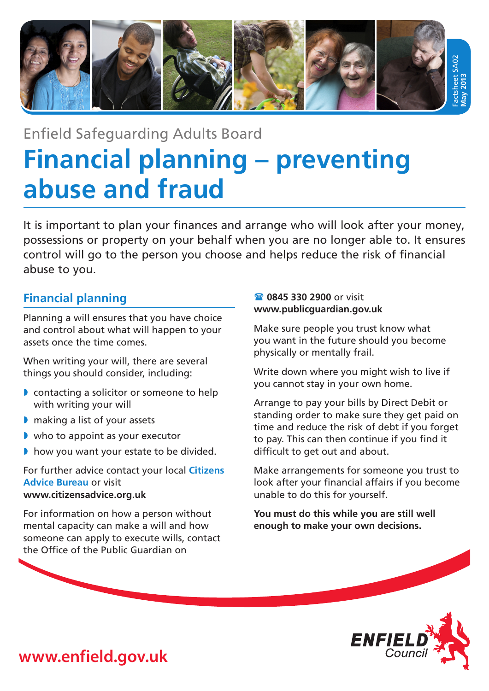

# Enfield Safeguarding Adults Board **Financial planning – preventing abuse and fraud**

It is important to plan your finances and arrange who will look after your money, possessions or property on your behalf when you are no longer able to. It ensures control will go to the person you choose and helps reduce the risk of financial abuse to you.

## **Financial planning**

Planning a will ensures that you have choice and control about what will happen to your assets once the time comes.

When writing your will, there are several things you should consider, including:

- » contacting a solicitor or someone to help with writing your will
- » making a list of your assets
- » who to appoint as your executor
- » how you want your estate to be divided.

For further advice contact your local **Citizens Advice Bureau** or visit **www.citizensadvice.org.uk**

For information on how a person without mental capacity can make a will and how someone can apply to execute wills, contact the Office of the Public Guardian on

## **<sup>3</sup> 0845 330 2900 or visit www.publicguardian.gov.uk**

Make sure people you trust know what you want in the future should you become physically or mentally frail.

Write down where you might wish to live if you cannot stay in your own home.

Arrange to pay your bills by Direct Debit or standing order to make sure they get paid on time and reduce the risk of debt if you forget to pay. This can then continue if you find it difficult to get out and about.

Make arrangements for someone you trust to look after your financial affairs if you become unable to do this for yourself.

**You must do this while you are still well enough to make your own decisions.**



**www.enfield.gov.uk**